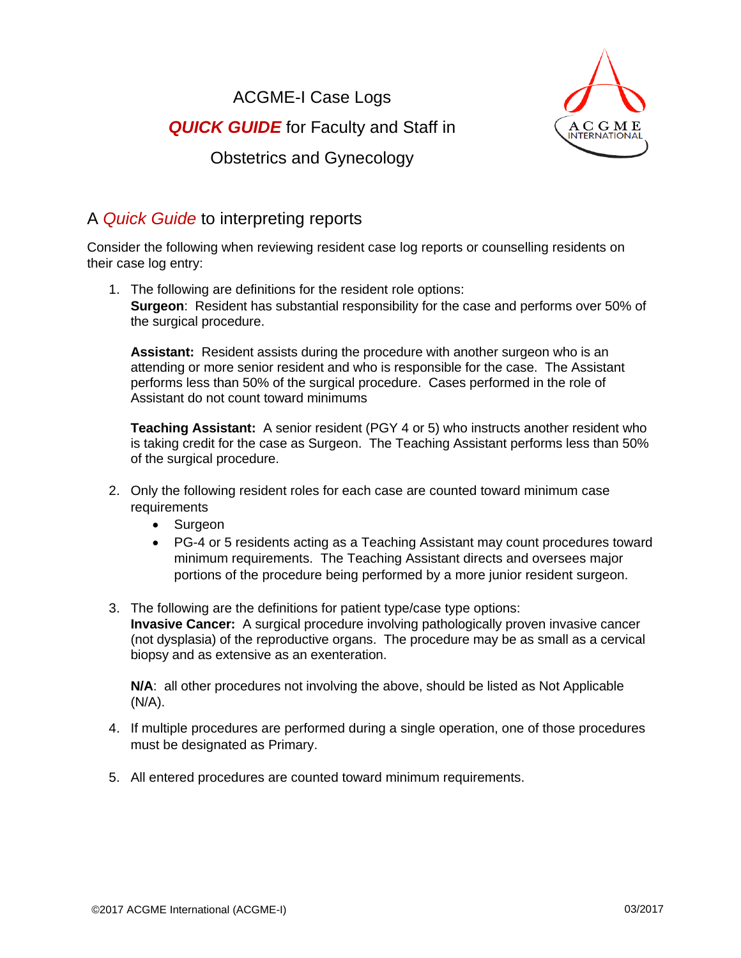ACGME-I Case Logs *QUICK GUIDE* for Faculty and Staff in Obstetrics and Gynecology



## A *Quick Guide* to interpreting reports

Consider the following when reviewing resident case log reports or counselling residents on their case log entry:

1. The following are definitions for the resident role options: **Surgeon**: Resident has substantial responsibility for the case and performs over 50% of the surgical procedure.

**Assistant:** Resident assists during the procedure with another surgeon who is an attending or more senior resident and who is responsible for the case. The Assistant performs less than 50% of the surgical procedure. Cases performed in the role of Assistant do not count toward minimums

**Teaching Assistant:** A senior resident (PGY 4 or 5) who instructs another resident who is taking credit for the case as Surgeon. The Teaching Assistant performs less than 50% of the surgical procedure.

- 2. Only the following resident roles for each case are counted toward minimum case **requirements** 
	- Surgeon
	- PG-4 or 5 residents acting as a Teaching Assistant may count procedures toward minimum requirements. The Teaching Assistant directs and oversees major portions of the procedure being performed by a more junior resident surgeon.
- 3. The following are the definitions for patient type/case type options: **Invasive Cancer:** A surgical procedure involving pathologically proven invasive cancer (not dysplasia) of the reproductive organs. The procedure may be as small as a cervical biopsy and as extensive as an exenteration.

**N/A**: all other procedures not involving the above, should be listed as Not Applicable  $(N/A)$ .

- 4. If multiple procedures are performed during a single operation, one of those procedures must be designated as Primary.
- 5. All entered procedures are counted toward minimum requirements.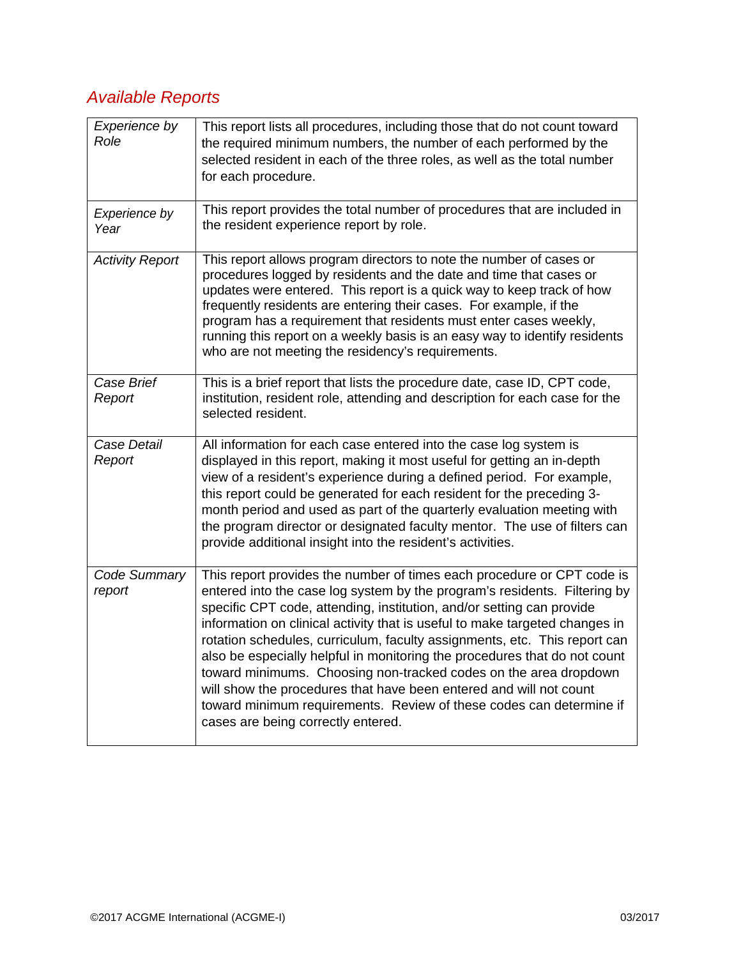## *Available Reports*

| Experience by<br>Role  | This report lists all procedures, including those that do not count toward<br>the required minimum numbers, the number of each performed by the<br>selected resident in each of the three roles, as well as the total number<br>for each procedure.                                                                                                                                                                                                                                                                                                                                                                                                                                                                          |
|------------------------|------------------------------------------------------------------------------------------------------------------------------------------------------------------------------------------------------------------------------------------------------------------------------------------------------------------------------------------------------------------------------------------------------------------------------------------------------------------------------------------------------------------------------------------------------------------------------------------------------------------------------------------------------------------------------------------------------------------------------|
| Experience by<br>Year  | This report provides the total number of procedures that are included in<br>the resident experience report by role.                                                                                                                                                                                                                                                                                                                                                                                                                                                                                                                                                                                                          |
| <b>Activity Report</b> | This report allows program directors to note the number of cases or<br>procedures logged by residents and the date and time that cases or<br>updates were entered. This report is a quick way to keep track of how<br>frequently residents are entering their cases. For example, if the<br>program has a requirement that residents must enter cases weekly,<br>running this report on a weekly basis is an easy way to identify residents<br>who are not meeting the residency's requirements.                                                                                                                                                                                                                             |
| Case Brief<br>Report   | This is a brief report that lists the procedure date, case ID, CPT code,<br>institution, resident role, attending and description for each case for the<br>selected resident.                                                                                                                                                                                                                                                                                                                                                                                                                                                                                                                                                |
| Case Detail<br>Report  | All information for each case entered into the case log system is<br>displayed in this report, making it most useful for getting an in-depth<br>view of a resident's experience during a defined period. For example,<br>this report could be generated for each resident for the preceding 3-<br>month period and used as part of the quarterly evaluation meeting with<br>the program director or designated faculty mentor. The use of filters can<br>provide additional insight into the resident's activities.                                                                                                                                                                                                          |
| Code Summary<br>report | This report provides the number of times each procedure or CPT code is<br>entered into the case log system by the program's residents. Filtering by<br>specific CPT code, attending, institution, and/or setting can provide<br>information on clinical activity that is useful to make targeted changes in<br>rotation schedules, curriculum, faculty assignments, etc. This report can<br>also be especially helpful in monitoring the procedures that do not count<br>toward minimums. Choosing non-tracked codes on the area dropdown<br>will show the procedures that have been entered and will not count<br>toward minimum requirements. Review of these codes can determine if<br>cases are being correctly entered. |